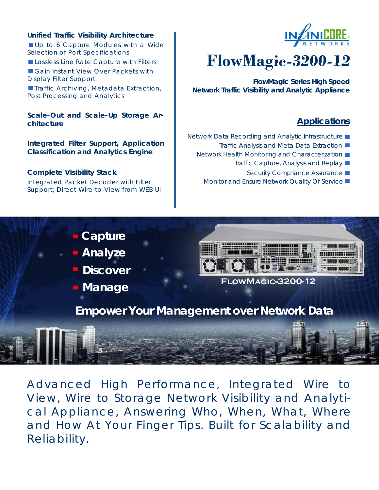#### **Unified Traffic Visibility Architecture**

Up to 6 Capture Modules with a Wide Selection of Port Specifications

Lossless Line Rate Capture with Filters

Gain Instant View Over Packets with Display Filter Support

**Traffic Archiving, Metadata Extraction,** Post Processing and Analytics

**Scale-Out and Scale-Up Storage Architecture** 

**Integrated Filter Support, Application Classification and Analytics Engine**

#### **Complete Visibility Stack**

Integrated Packet Decoder with Filter Support; Direct Wire-to-View from WEB UI



# **FlowMagic-3200-12**

**FlowMagic Series High Speed Network Traffic Visibility and Analytic Appliance** 

## **Applications**

- Network Data Recording and Analytic Infrastructure
	- Traffic Analysis and Meta Data Extraction ■
	- Network Health Monitoring and Characterization
		- Traffic Capture, Analysis and Replay
			- Security Compliance Assurance ■
		- Monitor and Ensure Network Quality Of Service



- **Analyze**
- **Discover**
- **Manage**



## **FlowMagic-3200-12**

**Empower Your Management over Network Data** 

Advanced High Performance, Integrated Wire to View, Wire to Storage Network Visibility and Analytical Appliance, Answering Who, When, What, Where and How At Your Finger Tips. Built for Scalability and Reliability.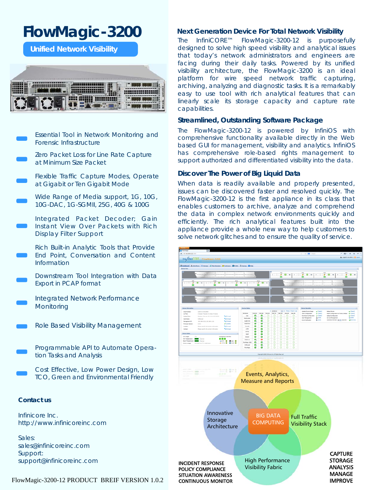## **FlowMagic-3200**

**Unified Network Visibility** 



- Essential Tool in Network Monitoring and Forensic Infrastructure
- Zero Packet Loss for Line Rate Capture at Minimum Size Packet
- Flexible Traffic Capture Modes, Operate at Gigabit or Ten Gigabit Mode
- Wide Range of Media support, 1G, 10G, 10G-DAC, 1G-SGMII, 25G, 40G & 100G
- Integrated Packet Decoder; Gain Instant View Over Packets with Rich Display Filter Support
- Rich Built-in Analytic Tools that Provide End Point, Conversation and Content Information
- Downstream Tool Integration with Data Export in PCAP format
- Integrated Network Performance **Monitoring**
- Role Based Visibility Management
	- Programmable API to Automate Operation Tasks and Analysis
		- Cost Effective, Low Power Design, Low TCO, Green and Environmental Friendly

#### **Contact us**

Infinicore Inc. http://www.infinicoreinc.com

Sales: sales@infinicoreinc.com Support: support@infinicoreinc.com

#### archiving, analyzing and diagnostic tasks. It is a remarkably easy to use tool with rich analytical features that can

capabilities.

linearly scale its storage capacity and capture rate

**Next Generation Device For Total Network Visibility**  The InfiniCORE™ FlowMagic-3200-12 is purposefully designed to solve high speed visibility and analytical issues that today's network administrators and engineers are facing during their daily tasks. Powered by its unified visibility architecture, the FlowMagic-3200 is an ideal platform for wire speed network traffic capturing,

#### **Streamlined, Outstanding Software Package**

The FlowMagic-3200-12 is powered by InfiniOS with comprehensive functionality available directly in the Web based GUI for management, visibility and analytics. InfiniOS has comprehensive role-based rights management to support authorized and differentiated visibility into the data.

#### **Discover The Power of Big Liquid Data**

When data is readily available and properly presented, issues can be discovered faster and resolved quickly. The FlowMagic-3200-12 is the first appliance in its class that enables customers to archive, analyze and comprehend the data in complex network environments quickly and efficiently. The rich analytical features built into the appliance provide a whole new way to help customers to solve network glitches and to ensure the quality of service.

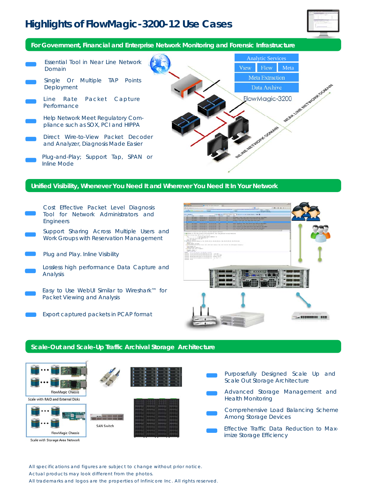## **Highlights of FlowMagic-3200-12 Use Cases**



**For Government, Financial and Enterprise Network Monitoring and Forensic Infrastructure** 

Analytic Services Essential Tool in Near Line Network View Flow Meta Domain Meta Extraction Single Or Multiple TAP Points FlowMagic-3200 Deployment Data Archive Line Rate Packet Capture Performance Help Network Meet Regulatory Com-WORKLOOMBALL pliance such as SOX, PCI and HIPPA Direct Wire-to-View Packet Decoder and Analyzer, Diagnosis Made Easier Plug-and-Play; Support Tap, SPAN or

#### **Unified Visibility, Whenever You Need It and Wherever You Need It In Your Network**

- Cost Effective Packet Level Diagnosis Tool for Network Administrators and Engineers
- Support Sharing Across Multiple Users and Work Groups with Reservation Management
- Plug and Play. Inline Visibility

Inline Mode

- Lossless high performance Data Capture and Analysis
- Easy to Use WebUI Similar to Wireshark™ for Packet Viewing and Analysis
	- Export captured packets in PCAP format



#### **Scale-Out and Scale-Up Traffic Archival Storage Architecture**



All specifications and figures are subject to change without prior notice.

Actual products may look different from the photos.

All trademarks and logos are the properties of Infinicore Inc. All rights reserved.